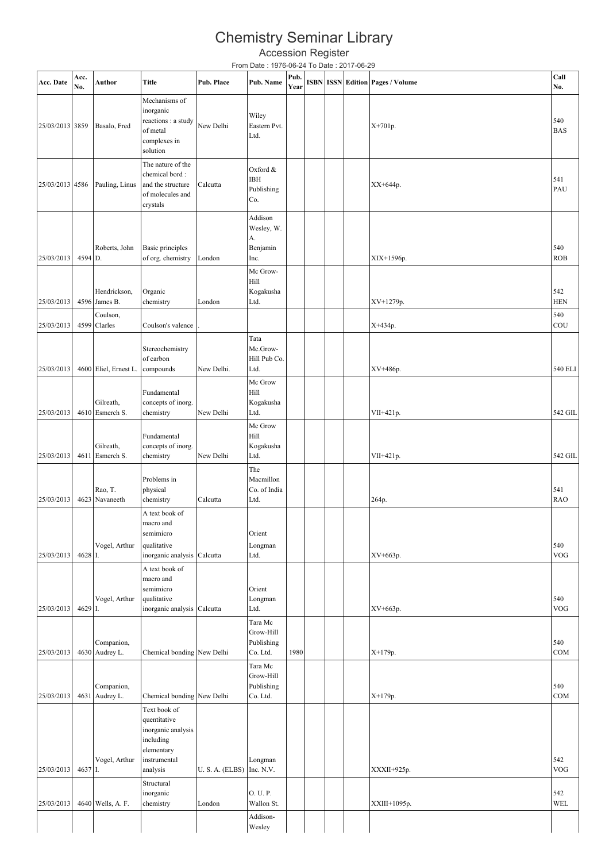## Chemistry Seminar Library

|                 |             |                |                                                                                           |            | Chemistry Seminar Library                       |              |  |                                         |                   |
|-----------------|-------------|----------------|-------------------------------------------------------------------------------------------|------------|-------------------------------------------------|--------------|--|-----------------------------------------|-------------------|
|                 |             |                |                                                                                           |            | <b>Accession Register</b>                       |              |  |                                         |                   |
|                 |             |                |                                                                                           |            | From Date: 1976-06-24 To Date: 2017-06-29       |              |  |                                         |                   |
| Acc. Date       | Acc.<br>No. | Author         | <b>Title</b>                                                                              | Pub. Place | Pub. Name                                       | Pub.<br>Year |  | <b>ISBN ISSN Edition Pages / Volume</b> | Call<br>No.       |
| 25/03/2013 3859 |             | Basalo, Fred   | Mechanisms of<br>inorganic<br>reactions : a study<br>of metal<br>complexes in<br>solution | New Delhi  | Wiley<br>Eastern Pvt.<br>Ltd.                   |              |  | $X+701p.$                               | 540<br><b>BAS</b> |
| 25/03/2013 4586 |             | Pauling, Linus | The nature of the<br>chemical bord:<br>and the structure<br>of molecules and<br>crystals  | Calcutta   | Oxford &<br>IBH<br>Publishing<br>Co.            |              |  | XX+644p.                                | 541<br>PAU        |
| 25/03/2013      | 4594 D.     | Roberts, John  | Basic principles<br>of org. chemistry                                                     | London     | Addison<br>Wesley, W.<br>А.<br>Benjamin<br>Inc. |              |  | XIX+1596p.                              | 540<br><b>ROB</b> |
|                 |             |                |                                                                                           |            | Mc Grow-                                        |              |  |                                         |                   |

| 25/03/2013                | 4594 D. | Roberts, John                 | Basic principles<br>of org. chemistry      | London               | Benjamin<br>Inc.       |      |  | XIX+1596p.   | 540<br><b>ROB</b> |
|---------------------------|---------|-------------------------------|--------------------------------------------|----------------------|------------------------|------|--|--------------|-------------------|
|                           |         |                               |                                            |                      | Mc Grow-               |      |  |              |                   |
|                           |         |                               |                                            |                      | Hill                   |      |  |              | 542               |
| 25/03/2013                |         | Hendrickson,<br>4596 James B. | Organic<br>chemistry                       | London               | Kogakusha<br>Ltd.      |      |  | XV+1279p.    | <b>HEN</b>        |
|                           |         | Coulson,                      |                                            |                      |                        |      |  |              | 540               |
| 25/03/2013                |         | 4599 Clarles                  | Coulson's valence                          |                      |                        |      |  | X+434p.      | COU               |
|                           |         |                               | Stereochemistry                            |                      | Tata<br>Mc.Grow-       |      |  |              |                   |
|                           |         |                               | of carbon                                  |                      | Hill Pub Co.           |      |  |              |                   |
| 25/03/2013                |         | 4600 Eliel, Ernest L.         | compounds                                  | New Delhi.           | Ltd.                   |      |  | XV+486p.     | 540 ELI           |
|                           |         |                               | Fundamental                                |                      | Mc Grow<br>Hill        |      |  |              |                   |
|                           |         | Gilreath,                     | concepts of inorg.                         |                      | Kogakusha              |      |  |              |                   |
| 25/03/2013                |         | 4610 Esmerch S.               | chemistry                                  | New Delhi            | Ltd.                   |      |  | VII+421p.    | 542 GIL           |
|                           |         |                               | Fundamental                                |                      | Mc Grow<br>Hill        |      |  |              |                   |
|                           |         | Gilreath,                     | concepts of inorg.                         |                      | Kogakusha              |      |  |              |                   |
| 25/03/2013                |         | 4611 Esmerch S.               | chemistry                                  | New Delhi            | Ltd.                   |      |  | VII+421p.    | 542 GIL           |
|                           |         |                               | Problems in                                |                      | The<br>Macmillon       |      |  |              |                   |
|                           |         | Rao, T.                       | physical                                   |                      | Co. of India           |      |  |              | 541               |
| 25/03/2013                |         | 4623 Navaneeth                | chemistry                                  | Calcutta             | Ltd.                   |      |  | 264p.        | <b>RAO</b>        |
|                           |         |                               | A text book of<br>macro and                |                      |                        |      |  |              |                   |
|                           |         |                               | semimicro                                  |                      | Orient                 |      |  |              |                   |
|                           |         | Vogel, Arthur                 | qualitative                                |                      | Longman                |      |  |              | 540               |
| 25/03/2013                | 4628 I. |                               | inorganic analysis                         | Calcutta             | Ltd.                   |      |  | XV+663p.     | <b>VOG</b>        |
|                           |         |                               | A text book of<br>macro and                |                      |                        |      |  |              |                   |
|                           |         |                               | semimicro                                  |                      | Orient                 |      |  |              |                   |
| 25/03/2013                | 4629 I. | Vogel, Arthur                 | qualitative<br>inorganic analysis Calcutta |                      | Longman<br>Ltd.        |      |  | XV+663p.     | 540<br><b>VOG</b> |
|                           |         |                               |                                            |                      | Tara Mc                |      |  |              |                   |
|                           |         |                               |                                            |                      | Grow-Hill              |      |  |              |                   |
| 25/03/2013                |         | Companion,<br>4630 Audrey L.  | Chemical bonding New Delhi                 |                      | Publishing<br>Co. Ltd. | 1980 |  | X+179p.      | 540<br>COM        |
|                           |         |                               |                                            |                      | Tara Mc                |      |  |              |                   |
|                           |         |                               |                                            |                      | Grow-Hill              |      |  |              |                   |
| 25/03/2013 4631 Audrey L. |         | Companion,                    | Chemical bonding New Delhi                 |                      | Publishing<br>Co. Ltd. |      |  | X+179p.      | 540<br>COM        |
|                           |         |                               | Text book of                               |                      |                        |      |  |              |                   |
|                           |         |                               | quentitative                               |                      |                        |      |  |              |                   |
|                           |         |                               | inorganic analysis<br>including            |                      |                        |      |  |              |                   |
|                           |         |                               | elementary                                 |                      |                        |      |  |              |                   |
|                           | 4637 I. | Vogel, Arthur                 | instrumental                               |                      | Longman<br>Inc. N.V.   |      |  |              | 542<br><b>VOG</b> |
| 25/03/2013                |         |                               | analysis<br>Structural                     | <b>U.S.A. (ELBS)</b> |                        |      |  | XXXII+925p.  |                   |
|                           |         |                               | inorganic                                  |                      | O. U.P.                |      |  |              | 542               |
| 25/03/2013                |         | 4640 Wells, A. F.             | chemistry                                  | London               | Wallon St.             |      |  | XXIII+1095p. | <b>WEL</b>        |
|                           |         |                               |                                            |                      | Addison-               |      |  |              |                   |
|                           |         |                               |                                            |                      | Wesley                 |      |  |              |                   |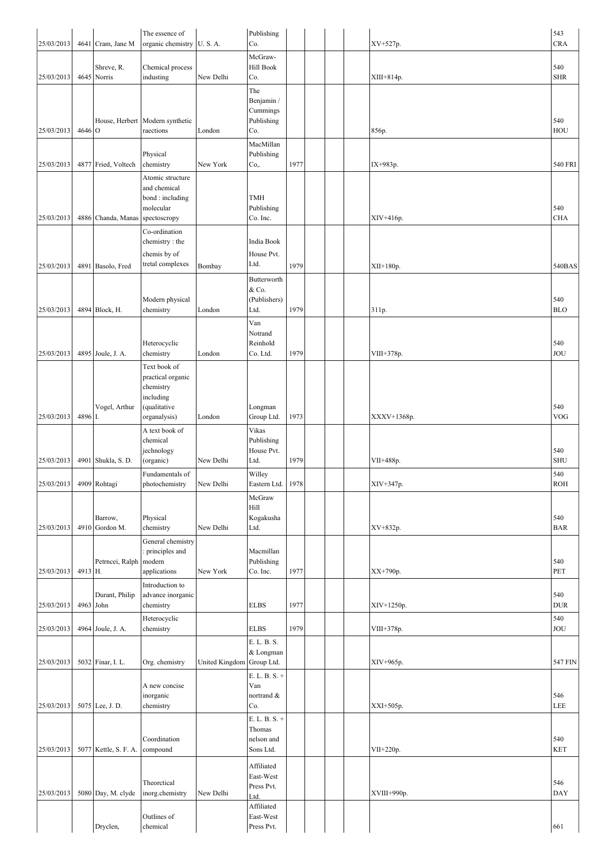|                         |         | 4641 Cram, Jane M           | The essence of                                                                   | <b>U.S.A.</b>  | Publishing<br>Co.                                  |      |  |             | 543               |
|-------------------------|---------|-----------------------------|----------------------------------------------------------------------------------|----------------|----------------------------------------------------|------|--|-------------|-------------------|
| 25/03/2013              |         |                             | organic chemistry                                                                |                | McGraw-                                            |      |  | XV+527p.    | <b>CRA</b>        |
| 25/03/2013              |         | Shreve, R.<br>4645 Norris   | Chemical process<br>industing                                                    | New Delhi      | Hill Book<br>Co.                                   |      |  | XIII+814p.  | 540<br><b>SHR</b> |
| 25/03/2013              | 4646 O  |                             | House, Herbert   Modern synthetic<br>raections                                   | London         | The<br>Benjamin /<br>Cummings<br>Publishing<br>Co. |      |  | 856p.       | 540<br>HOU        |
| 25/03/2013              |         | 4877 Fried, Voltech         | Physical<br>chemistry                                                            | New York       | MacMillan<br>Publishing<br>Co,.                    | 1977 |  | IX+983p.    | 540 FRI           |
| 25/03/2013              |         | 4886 Chanda, Manas          | Atomic structure<br>and chemical<br>bond: including<br>molecular<br>spectoscropy |                | <b>TMH</b><br>Publishing<br>Co. Inc.               |      |  | XIV+416p.   | 540<br><b>CHA</b> |
|                         |         |                             | Co-ordination<br>chemistry: the<br>chemis by of                                  |                | India Book<br>House Pvt.                           |      |  |             |                   |
| 25/03/2013              |         | 4891 Basolo, Fred           | tretal complexes                                                                 | Bombay         | Ltd.<br>Butterworth                                | 1979 |  | $XII+180p.$ | 540BAS            |
| 25/03/2013              |         | 4894 Block, H.              | Modern physical<br>chemistry                                                     | London         | & Co.<br>(Publishers)<br>Ltd.                      | 1979 |  | 311p.       | 540<br><b>BLO</b> |
| 25/03/2013              |         | 4895 Joule, J. A.           | Heterocyclic<br>chemistry                                                        | London         | Van<br>Notrand<br>Reinhold<br>Co. Ltd.             | 1979 |  | VIII+378p.  | 540<br><b>JOU</b> |
|                         |         | Vogel, Arthur               | Text book of<br>practical organic<br>chemistry<br>including<br>(qualitative      |                | Longman                                            |      |  |             | 540               |
| 25/03/2013              | 4896 I. |                             | organalysis)                                                                     | London         | Group Ltd.                                         | 1973 |  | XXXV+1368p. | <b>VOG</b>        |
| 25/03/2013              |         | 4901 Shukla, S. D.          | A text book of<br>chemical<br>jechnology<br>(organic)                            | New Delhi      | Vikas<br>Publishing<br>House Pvt.<br>Ltd.          | 1979 |  | VII+488p.   | 540<br><b>SHU</b> |
| 25/03/2013 4909 Rohtagi |         |                             | Fundamentals of<br>photochemistry                                                | New Delhi      | Willey<br>Eastern Ltd. 1978                        |      |  | XIV+347p.   | 540<br><b>ROH</b> |
| 25/03/2013              |         | Barrow,<br>4910 Gordon M.   | Physical<br>chemistry                                                            | New Delhi      | McGraw<br>Hill<br>Kogakusha<br>Ltd.                |      |  | XV+832p.    | 540<br><b>BAR</b> |
| 25/03/2013              | 4913 H. | Petrncei, Ralph             | General chemistry<br>: principles and<br>modern<br>applications                  | New York       | Macmillan<br>Publishing<br>Co. Inc.                | 1977 |  | XX+790p.    | 540<br>PET        |
| 25/03/2013              |         | Durant, Philip<br>4963 John | Introduction to<br>advance inorganic<br>chemistry                                |                | <b>ELBS</b>                                        | 1977 |  | XIV+1250p.  | 540<br><b>DUR</b> |
| 25/03/2013              |         | 4964 Joule, J. A.           | Heterocyclic<br>chemistry                                                        |                | <b>ELBS</b>                                        | 1979 |  | VIII+378p.  | 540<br>JOU        |
| 25/03/2013              |         | 5032 Finar, I. L.           | Org. chemistry                                                                   | United Kingdom | E. L. B. S.<br>& Longman<br>Group Ltd.             |      |  | XIV+965p.   | 547 FIN           |
|                         |         |                             | A new concise<br>inorganic                                                       |                | E. L. B. S. +<br>Van<br>nortrand &                 |      |  |             | 546               |
| 25/03/2013              |         | 5075 Lee, J.D.              | chemistry                                                                        |                | Co.<br>E. L. B. S. +                               |      |  | XXI+505p.   | LEE               |
| 25/03/2013              |         | 5077 Kettle, S. F. A.       | Coordination<br>compound                                                         |                | Thomas<br>nelson and<br>Sons Ltd.                  |      |  | VII+220p.   | 540<br><b>KET</b> |
| 25/03/2013              |         | 5080 Day, M. clyde          | Theoretical<br>inorg.chemistry                                                   | New Delhi      | Affiliated<br>East-West<br>Press Pvt.<br>Ltd.      |      |  | XVIII+990p. | 546<br><b>DAY</b> |
|                         |         | Dryclen,                    | Outlines of<br>chemical                                                          |                | Affiliated<br>East-West<br>Press Pvt.              |      |  |             | 661               |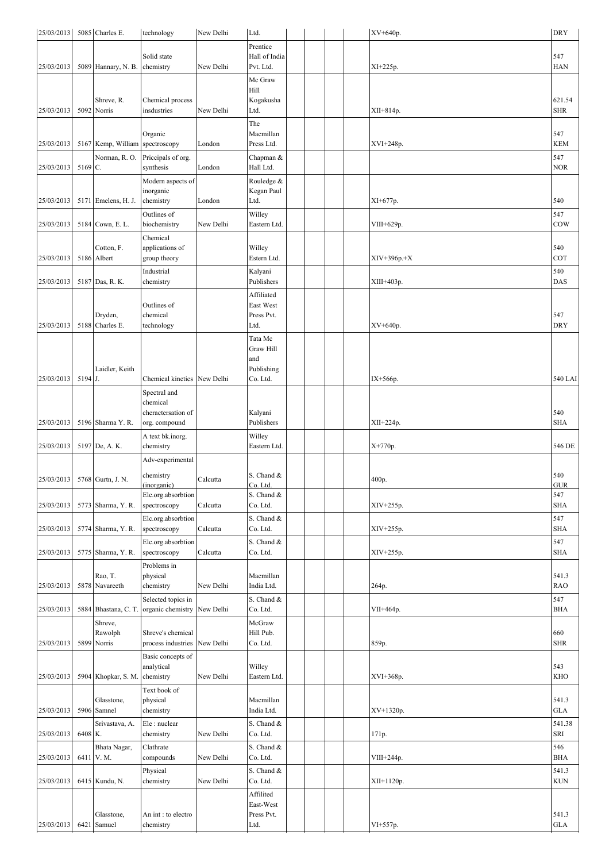| 25/03/2013 |         | 5085 Charles E.           | technology                              | New Delhi | Ltd.                  |  |  | XV+640p.      | <b>DRY</b>           |
|------------|---------|---------------------------|-----------------------------------------|-----------|-----------------------|--|--|---------------|----------------------|
|            |         |                           |                                         |           | Prentice              |  |  |               |                      |
|            |         |                           | Solid state                             |           | Hall of India         |  |  |               | 547                  |
| 25/03/2013 |         | 5089 Hannary, N. B.       | chemistry                               | New Delhi | Pvt. Ltd.             |  |  | XI+225p.      | <b>HAN</b>           |
|            |         |                           |                                         |           | Mc Graw               |  |  |               |                      |
|            |         |                           |                                         |           | Hill                  |  |  |               |                      |
| 25/03/2013 |         | Shreve, R.<br>5092 Norris | Chemical process<br>insdustries         | New Delhi | Kogakusha<br>Ltd.     |  |  | XII+814p.     | 621.54<br><b>SHR</b> |
|            |         |                           |                                         |           |                       |  |  |               |                      |
|            |         |                           | Organic                                 |           | The<br>Macmillan      |  |  |               | 547                  |
| 25/03/2013 |         | 5167 Kemp, William        | spectroscopy                            | London    | Press Ltd.            |  |  | XVI+248p.     | <b>KEM</b>           |
|            |         | Norman, R.O.              | Priccipals of org.                      |           | Chapman &             |  |  |               | 547                  |
| 25/03/2013 | 5169 C. |                           | synthesis                               | London    | Hall Ltd.             |  |  |               | <b>NOR</b>           |
|            |         |                           | Modern aspects of                       |           | Rouledge &            |  |  |               |                      |
|            |         |                           | inorganic                               |           | Kegan Paul            |  |  |               |                      |
| 25/03/2013 |         | 5171 Emelens, H. J.       | chemistry                               | London    | Ltd.                  |  |  | XI+677p.      | 540                  |
|            |         |                           | Outlines of                             |           | Willey                |  |  |               | 547                  |
| 25/03/2013 | 5184    | Cown, E. L.               | biochemistry                            | New Delhi | Eastern Ltd.          |  |  | VIII+629p.    | COW                  |
|            |         |                           | Chemical                                |           |                       |  |  |               |                      |
|            |         | Cotton, F.                | applications of                         |           | Willey                |  |  |               | 540                  |
| 25/03/2013 |         | 5186 Albert               | group theory                            |           | Estern Ltd.           |  |  | $XIV+396p.+X$ | COT                  |
|            |         |                           | Industrial                              |           | Kalyani               |  |  |               | 540                  |
| 25/03/2013 |         | 5187 Das, R. K.           | chemistry                               |           | Publishers            |  |  | XIII+403p.    | DAS                  |
|            |         |                           |                                         |           | Affiliated            |  |  |               |                      |
|            |         |                           | Outlines of                             |           | East West             |  |  |               |                      |
|            |         | Dryden,                   | chemical                                |           | Press Pvt.            |  |  |               | 547                  |
| 25/03/2013 | 5188    | Charles E.                | technology                              |           | Ltd.                  |  |  | XV+640p.      | <b>DRY</b>           |
|            |         |                           |                                         |           | Tata Mc               |  |  |               |                      |
|            |         |                           |                                         |           | Graw Hill<br>and      |  |  |               |                      |
|            |         | Laidler, Keith            |                                         |           | Publishing            |  |  |               |                      |
| 25/03/2013 | 5194 J. |                           | Chemical kinetics New Delhi             |           | Co. Ltd.              |  |  | IX+566p.      | 540 LAI              |
|            |         |                           | Spectral and                            |           |                       |  |  |               |                      |
|            |         |                           | chemical                                |           |                       |  |  |               |                      |
|            |         |                           | cheractersation of                      |           | Kalyani               |  |  |               | 540                  |
| 25/03/2013 |         | 5196 Sharma Y. R.         | org. compound                           |           | Publishers            |  |  | $XII+224p$ .  | <b>SHA</b>           |
|            |         |                           | A text bk.inorg.                        |           | Willey                |  |  |               |                      |
| 25/03/2013 |         | 5197 De, A. K.            | chemistry                               |           | Eastern Ltd.          |  |  | X+770p.       | 546 DE               |
|            |         |                           | Adv-experimental                        |           |                       |  |  |               |                      |
|            |         |                           | chemistry                               |           | S. Chand &            |  |  |               | 540                  |
| 25/03/2013 |         | 5768 Gurtn, J. N.         | (inorganic)                             | Calcutta  | Co. Ltd.              |  |  | 400p.         | <b>GUR</b>           |
|            |         |                           | Elc.org.absorbtion                      |           | S. Chand &            |  |  |               | 547                  |
| 25/03/2013 |         | 5773 Sharma, Y. R.        | spectroscopy                            | Calcutta  | Co. Ltd.              |  |  | XIV+255p.     | <b>SHA</b>           |
|            |         |                           | Elc.org.absorbtion                      |           | S. Chand &            |  |  |               | 547                  |
| 25/03/2013 |         | 5774 Sharma, Y. R.        | spectroscopy                            | Calcutta  | Co. Ltd.              |  |  | XIV+255p.     | <b>SHA</b>           |
|            |         |                           | Elc.org.absorbtion                      |           | S. Chand &            |  |  |               | 547                  |
| 25/03/2013 |         | 5775 Sharma, Y. R.        | spectroscopy                            | Calcutta  | Co. Ltd.              |  |  | XIV+255p.     | <b>SHA</b>           |
|            |         |                           | Problems in                             |           |                       |  |  |               |                      |
|            |         | Rao, T.                   | physical                                |           | Macmillan             |  |  |               | 541.3                |
| 25/03/2013 |         | 5878 Navareeth            | chemistry                               | New Delhi | India Ltd.            |  |  | 264p.         | <b>RAO</b>           |
|            |         |                           | Selected topics in                      |           | S. Chand &            |  |  |               | 547                  |
| 25/03/2013 | 5884    | Bhastana, C. T.           | organic chemistry                       | New Delhi | Co. Ltd.              |  |  | VII+464p.     | <b>BHA</b>           |
|            |         | Shreve,                   |                                         |           | McGraw                |  |  |               |                      |
| 25/03/2013 | 5899    | Rawolph<br>Norris         | Shreve's chemical<br>process industries | New Delhi | Hill Pub.<br>Co. Ltd. |  |  | 859p.         | 660<br><b>SHR</b>    |
|            |         |                           |                                         |           |                       |  |  |               |                      |
|            |         |                           | Basic concepts of<br>analytical         |           | Willey                |  |  |               | 543                  |
| 25/03/2013 |         | 5904 Khopkar, S. M.       | chemistry                               | New Delhi | Eastern Ltd.          |  |  | XVI+368p.     | KHO                  |
|            |         |                           | Text book of                            |           |                       |  |  |               |                      |
|            |         | Glasstone,                | physical                                |           | Macmillan             |  |  |               | 541.3                |
| 25/03/2013 |         | 5906 Samnel               | chemistry                               |           | India Ltd.            |  |  | XV+1320p.     | <b>GLA</b>           |
|            |         | Srivastava, A.            | Ele: nuclear                            |           | S. Chand $\&$         |  |  |               | 541.38               |
| 25/03/2013 | 6408 K. |                           | chemistry                               | New Delhi | Co. Ltd.              |  |  | 171p.         | SRI                  |
|            |         | Bhata Nagar,              | Clathrate                               |           | S. Chand &            |  |  |               | 546                  |
| 25/03/2013 |         | 6411 V.M.                 | compounds                               | New Delhi | Co. Ltd.              |  |  | VIII+244p.    | <b>BHA</b>           |
|            |         |                           | Physical                                |           | S. Chand &            |  |  |               | 541.3                |
| 25/03/2013 |         | 6415 Kundu, N.            | chemistry                               | New Delhi | Co. Ltd.              |  |  | XII+1120p.    | $\rm KUN$            |
|            |         |                           |                                         |           | Affilited             |  |  |               |                      |
|            |         |                           |                                         |           | East-West             |  |  |               |                      |
|            |         | Glasstone,                | An int: to electro                      |           | Press Pvt.            |  |  |               | 541.3                |
| 25/03/2013 | 6421    | Samuel                    | chemistry                               |           | Ltd.                  |  |  | VI+557p.      | <b>GLA</b>           |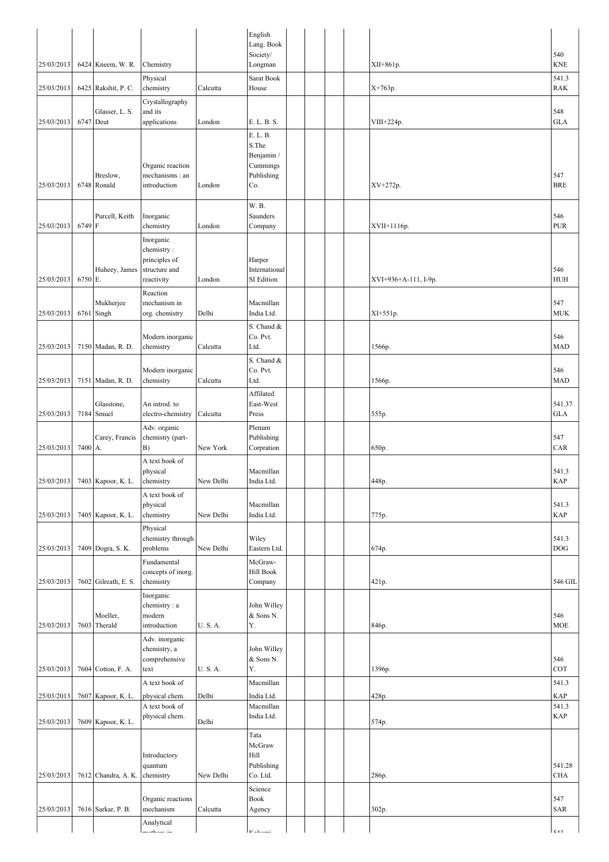|            |         |                             |                                |               | English                     |  |  |                      |                      |
|------------|---------|-----------------------------|--------------------------------|---------------|-----------------------------|--|--|----------------------|----------------------|
|            |         |                             |                                |               | Lang. Book                  |  |  |                      |                      |
| 25/03/2013 |         | 6424 Kneem, W. R.           | Chemistry                      |               | Society/<br>Longman         |  |  | XII+861p.            | 540<br><b>KNE</b>    |
|            |         |                             | Physical                       |               | Sarat Book                  |  |  |                      | 541.3                |
| 25/03/2013 |         | 6425 Rakshit, P. C.         | chemistry                      | Calcutta      | House                       |  |  | X+763p.              | <b>RAK</b>           |
|            |         |                             | Crystallography                |               |                             |  |  |                      |                      |
|            |         | Glasser, L. S.<br>6747 Deut | and its                        |               |                             |  |  |                      | 548<br><b>GLA</b>    |
| 25/03/2013 |         |                             | applications                   | London        | E. L. B. S.<br>E. L. B.     |  |  | VIII+224p.           |                      |
|            |         |                             |                                |               | S.The                       |  |  |                      |                      |
|            |         |                             |                                |               | Benjamin /                  |  |  |                      |                      |
|            |         |                             | Organic reaction               |               | Cummings                    |  |  |                      |                      |
| 25/03/2013 | 6748    | Breslow,<br>Ronald          | mechanisms: an<br>introduction | London        | Publishing<br>Co.           |  |  | XV+272p.             | 547<br><b>BRE</b>    |
|            |         |                             |                                |               |                             |  |  |                      |                      |
|            |         |                             |                                |               | W.B.                        |  |  |                      |                      |
| 25/03/2013 | 6749    | Purcell, Keith<br>${\rm F}$ | Inorganic<br>chemistry         | London        | Saunders<br>Company         |  |  | XVII+1116p.          | 546<br><b>PUR</b>    |
|            |         |                             | Inorganic                      |               |                             |  |  |                      |                      |
|            |         |                             | chemistry:                     |               |                             |  |  |                      |                      |
|            |         |                             | principles of                  |               | Harper                      |  |  |                      |                      |
| 25/03/2013 | 6750    | Huheey, James<br>Ε.         | structure and<br>reactivity    | London        | International<br>SI Edition |  |  | XVI+936+A-111, I-9p. | 546<br>HUH           |
|            |         |                             | Reaction                       |               |                             |  |  |                      |                      |
|            |         | Mukherjee                   | mechanism in                   |               | Macmillan                   |  |  |                      | 547                  |
| 25/03/2013 |         | 6761 Singh                  | org. chemistry                 | Delhi         | India Ltd.                  |  |  | XI+551p.             | <b>MUK</b>           |
|            |         |                             |                                |               | S. Chand &                  |  |  |                      |                      |
|            |         |                             | Modern inorganic               |               | Co. Pvt.                    |  |  |                      | 546                  |
| 25/03/2013 |         | 7150 Madan, R. D.           | chemistry                      | Calcutta      | Ltd.                        |  |  | 1566p.               | <b>MAD</b>           |
|            |         |                             | Modern inorganic               |               | S. Chand &<br>Co. Pvt.      |  |  |                      | 546                  |
| 25/03/2013 |         | 7151 Madan, R. D.           | chemistry                      | Calcutta      | Ltd.                        |  |  | 1566p.               | <b>MAD</b>           |
|            |         |                             |                                |               | Affilated                   |  |  |                      |                      |
|            |         | Glasstone,                  | An introd. to                  |               | East-West                   |  |  |                      | 541.37               |
| 25/03/2013 | 7184    | Smuel                       | electro-chemistry              | Calcutta      | Press                       |  |  | 555p.                | GLA                  |
|            |         |                             | Adv. organic                   |               | Plenum                      |  |  |                      |                      |
| 25/03/2013 | 7400 A. | Carey, Francis              | chemistry (part-<br>B)         | New York      | Publishing<br>Corpration    |  |  | 650p.                | 547<br>CAR           |
|            |         |                             | A text book of                 |               |                             |  |  |                      |                      |
|            |         |                             | physical                       |               | Macmillan                   |  |  |                      | 541.3                |
| 25/03/2013 |         | 7403 Kapoor, K. L.          | chemistry                      | New Delhi     | India Ltd.                  |  |  | 448p.                | <b>KAP</b>           |
|            |         |                             | A text book of                 |               |                             |  |  |                      |                      |
| 25/03/2013 |         | 7405 Kapoor, K. L.          | physical<br>chemistry          | New Delhi     | Macmillan<br>India Ltd.     |  |  | 775p.                | 541.3<br><b>KAP</b>  |
|            |         |                             | Physical                       |               |                             |  |  |                      |                      |
|            |         |                             | chemistry through              |               | Wiley                       |  |  |                      | 541.3                |
| 25/03/2013 |         | 7409 Dogra, S. K.           | problems                       | New Delhi     | Eastern Ltd.                |  |  | 674p.                | $DOG$                |
|            |         |                             | Fundamental                    |               | McGraw-                     |  |  |                      |                      |
|            |         |                             | concepts of inorg.             |               | Hill Book                   |  |  |                      |                      |
| 25/03/2013 |         | $7602$ Gilreath, E. S.      | chemistry                      |               | Company                     |  |  | 421p.                | 546 GIL              |
|            |         |                             | Inorganic<br>chemistry: a      |               | John Willey                 |  |  |                      |                      |
|            |         | Moeller,                    | modern                         |               | $&$ Sons N.                 |  |  |                      | 546                  |
| 25/03/2013 |         | 7603 Therald                | introduction                   | U.S.A.        | Υ.                          |  |  | 846p.                | <b>MOE</b>           |
|            |         |                             | Adv. inorganic                 |               |                             |  |  |                      |                      |
|            |         |                             | chemistry, a<br>comprehensive  |               | John Willey<br>& Sons N.    |  |  |                      | 546                  |
| 25/03/2013 |         | 7604 Cotton, F. A.          | text                           | <b>U.S.A.</b> | Y.                          |  |  | 1396p.               | COT                  |
|            |         |                             | A text book of                 |               | Macmillan                   |  |  |                      | 541.3                |
| 25/03/2013 |         | 7607 Kapoor, K. L.          | physical chem.                 | Delhi         | India Ltd.                  |  |  | 428p.                | <b>KAP</b>           |
|            |         |                             | A text book of                 |               | Macmillan                   |  |  |                      | 541.3                |
| 25/03/2013 |         | 7609 Kapoor, K. L.          | physical chem.                 | Delhi         | India Ltd.                  |  |  | 574p.                | <b>KAP</b>           |
|            |         |                             |                                |               | Tata                        |  |  |                      |                      |
|            |         |                             |                                |               | McGraw                      |  |  |                      |                      |
|            |         |                             | Introductory                   |               | Hill                        |  |  |                      |                      |
| 25/03/2013 |         | 7612 Chandra, A. K.         | quantum<br>chemistry           | New Delhi     | Publishing<br>Co. Ltd.      |  |  | 286p.                | 541.28<br><b>CHA</b> |
|            |         |                             |                                |               | Science                     |  |  |                      |                      |
|            |         |                             | Organic reactions              |               | Book                        |  |  |                      | 547                  |
| 25/03/2013 |         | 7616 Sarkar, P. B.          | mechanism                      | Calcutta      | Agency                      |  |  | 302p.                | <b>SAR</b>           |
|            |         |                             | Analytical                     |               |                             |  |  |                      |                      |
|            |         |                             | matham in                      |               | $V$ olyoni                  |  |  |                      | 512                  |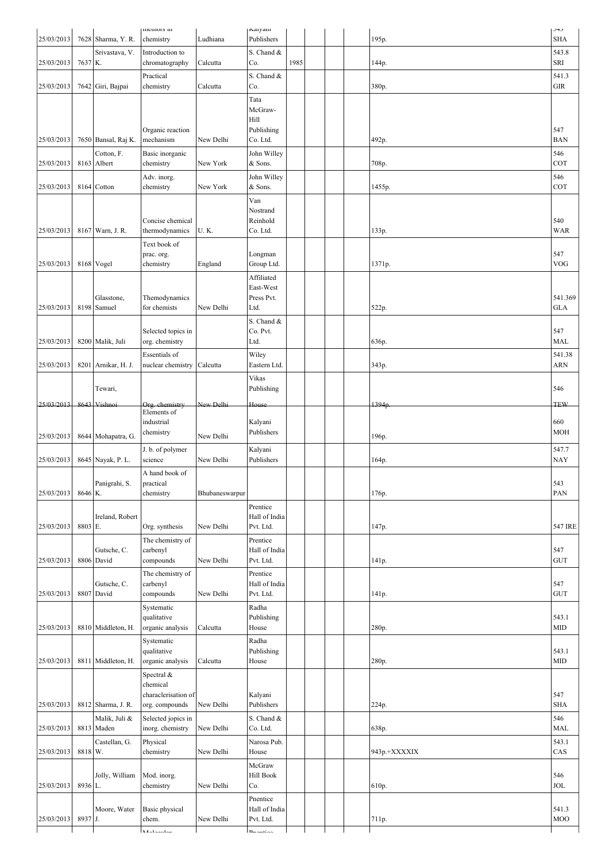|            |         |                     | memors in                            |                | Naryani                  |      |  |                   | <b>J4J</b> |
|------------|---------|---------------------|--------------------------------------|----------------|--------------------------|------|--|-------------------|------------|
| 25/03/2013 |         | 7628 Sharma, Y. R.  | chemistry                            | Ludhiana       | Publishers               |      |  | 195p.             | <b>SHA</b> |
|            |         | Srivastava, V.      | Introduction to                      |                | S. Chand &               |      |  |                   | 543.8      |
| 25/03/2013 | 7637 K. |                     | chromatography                       | Calcutta       | Co.                      | 1985 |  | 144p.             | SRI        |
|            |         |                     |                                      |                |                          |      |  |                   |            |
|            |         |                     | Practical                            |                | S. Chand &               |      |  |                   | 541.3      |
| 25/03/2013 |         | 7642 Giri, Bajpai   | chemistry                            | Calcutta       | Co.                      |      |  | 380p.             | <b>GIR</b> |
|            |         |                     |                                      |                | Tata                     |      |  |                   |            |
|            |         |                     |                                      |                | McGraw-                  |      |  |                   |            |
|            |         |                     |                                      |                | Hill                     |      |  |                   |            |
|            |         |                     | Organic reaction                     |                | Publishing               |      |  |                   | 547        |
| 25/03/2013 |         | 7650 Bansal, Raj K. | mechanism                            | New Delhi      | Co. Ltd.                 |      |  | 492p.             | <b>BAN</b> |
|            |         |                     |                                      |                |                          |      |  |                   |            |
|            |         | Cotton, F.          | Basic inorganic                      |                | John Willey              |      |  |                   | 546        |
| 25/03/2013 |         | 8163 Albert         | chemistry                            | New York       | & Sons.                  |      |  | 708p.             | COT        |
|            |         |                     | Adv. inorg.                          |                | John Willey              |      |  |                   | 546        |
| 25/03/2013 |         | 8164 Cotton         | chemistry                            | New York       | & Sons.                  |      |  | 1455p.            | COT        |
|            |         |                     |                                      |                |                          |      |  |                   |            |
|            |         |                     |                                      |                | Van                      |      |  |                   |            |
|            |         |                     |                                      |                | Nostrand                 |      |  |                   |            |
|            |         |                     | Concise chemical                     |                | Reinhold                 |      |  |                   | 540        |
| 25/03/2013 |         | 8167 Warn, J. R.    | thermodynamics                       | <b>U.K.</b>    | Co. Ltd.                 |      |  | 133p.             | <b>WAR</b> |
|            |         |                     | Text book of                         |                |                          |      |  |                   |            |
|            |         |                     | prac. org.                           |                | Longman                  |      |  |                   | 547        |
| 25/03/2013 |         | 8168 Vogel          |                                      | England        | Group Ltd.               |      |  | 1371p.            | <b>VOG</b> |
|            |         |                     | chemistry                            |                |                          |      |  |                   |            |
|            |         |                     |                                      |                | Affiliated               |      |  |                   |            |
|            |         |                     |                                      |                | East-West                |      |  |                   |            |
|            |         | Glasstone,          | Themodynamics                        |                | Press Pvt.               |      |  |                   | 541.369    |
| 25/03/2013 |         | 8198 Samuel         | for chemists                         | New Delhi      | Ltd.                     |      |  | 522p.             | <b>GLA</b> |
|            |         |                     |                                      |                | S. Chand &               |      |  |                   |            |
|            |         |                     |                                      |                | Co. Pvt.                 |      |  |                   | 547        |
| 25/03/2013 |         | 8200 Malik, Juli    | Selected topics in<br>org. chemistry |                | Ltd.                     |      |  | 636p.             | <b>MAL</b> |
|            |         |                     |                                      |                |                          |      |  |                   |            |
|            |         |                     | Essentials of                        |                | Wiley                    |      |  |                   | 541.38     |
| 25/03/2013 |         | 8201 Arnikar, H. J. | nuclear chemistry                    | Calcutta       | Eastern Ltd.             |      |  | 343p.             | <b>ARN</b> |
|            |         |                     |                                      |                | Vikas                    |      |  |                   |            |
|            |         | Tewari,             |                                      |                | Publishing               |      |  |                   | 546        |
|            |         |                     |                                      |                |                          |      |  |                   |            |
| 25/03/2013 | 8643    | Vishnoi             | Org. ehemistry                       | New Delhi      | House                    |      |  | 1394 <sub>p</sub> | <b>TEW</b> |
|            |         |                     | Elements of                          |                |                          |      |  |                   |            |
|            |         |                     | industrial                           |                | Kalyani                  |      |  |                   | 660        |
| 25/03/2013 |         | 8644 Mohapatra, G.  | chemistry                            | New Delhi      | Publishers               |      |  | 196p.             | <b>MOH</b> |
|            |         |                     |                                      |                |                          |      |  |                   |            |
|            |         |                     |                                      |                |                          |      |  |                   |            |
|            |         |                     | J. b. of polymer                     |                | Kalyani                  |      |  |                   | 547.7      |
| 25/03/2013 |         | 8645 Nayak, P. L.   | science                              | New Delhi      | Publishers               |      |  | 164p.             | <b>NAY</b> |
|            |         |                     | A hand book of                       |                |                          |      |  |                   |            |
|            |         | Panigrahi, S.       | practical                            |                |                          |      |  |                   | 543        |
| 25/03/2013 | 8646 K. |                     | chemistry                            | Bhubaneswarpur |                          |      |  | 176p.             | PAN        |
|            |         |                     |                                      |                |                          |      |  |                   |            |
|            |         |                     |                                      |                | Prentice                 |      |  |                   |            |
|            |         | Ireland, Robert     |                                      |                | Hall of India            |      |  |                   |            |
| 25/03/2013 | 8803 E. |                     | Org. synthesis                       | New Delhi      | Pvt. Ltd.                |      |  | 147p.             | 547 IRE    |
|            |         |                     | The chemistry of                     |                | Prentice                 |      |  |                   |            |
|            |         | Gutsche, C.         | carbenyl                             |                | Hall of India            |      |  |                   | 547        |
| 25/03/2013 |         | 8806 David          | compounds                            | New Delhi      | Pvt. Ltd.                |      |  | 141p.             | <b>GUT</b> |
|            |         |                     |                                      |                |                          |      |  |                   |            |
|            |         |                     | The chemistry of                     |                | Prentice                 |      |  |                   |            |
|            |         | Gutsche, C.         | carbenyl                             |                | Hall of India            |      |  |                   | 547        |
| 25/03/2013 |         | 8807 David          | compounds                            | New Delhi      | Pvt. Ltd.                |      |  | 141p.             | <b>GUT</b> |
|            |         |                     | Systematic                           |                | Radha                    |      |  |                   |            |
|            |         |                     | qualitative                          |                | Publishing               |      |  |                   | 543.1      |
| 25/03/2013 |         | 8810 Middleton, H.  | organic analysis                     | Calcutta       | House                    |      |  | 280p.             | <b>MID</b> |
|            |         |                     |                                      |                | Radha                    |      |  |                   |            |
|            |         |                     | Systematic<br>qualitative            |                | Publishing               |      |  |                   | 543.1      |
| 25/03/2013 |         |                     |                                      | Calcutta       | House                    |      |  |                   | MID        |
|            |         | 8811 Middleton, H.  | organic analysis                     |                |                          |      |  | 280p.             |            |
|            |         |                     | Spectral &                           |                |                          |      |  |                   |            |
|            |         |                     | chemical                             |                |                          |      |  |                   |            |
|            |         |                     | characlerisation of                  |                | Kalyani                  |      |  |                   | 547        |
| 25/03/2013 |         | 8812 Sharma, J. R.  | org. compounds                       | New Delhi      | Publishers               |      |  | 224p.             | <b>SHA</b> |
|            |         | Malik, Juli &       | Selected jopics in                   |                | S. Chand &               |      |  |                   | 546        |
| 25/03/2013 |         | 8813 Maden          | inorg. chemistry                     | New Delhi      | Co. Ltd.                 |      |  | 638p.             | MAL        |
|            |         |                     |                                      |                |                          |      |  |                   |            |
|            |         | Castellan, G.       | Physical                             |                | Narosa Pub.              |      |  |                   | 543.1      |
| 25/03/2013 | 8818 W. |                     | chemistry                            | New Delhi      | House                    |      |  | 943p.+XXXXIX      | CAS        |
|            |         |                     |                                      |                | McGraw                   |      |  |                   |            |
|            |         | Jolly, William      | Mod. inorg.                          |                | Hill Book                |      |  |                   | 546        |
| 25/03/2013 | 8936 L. |                     | chemistry                            | New Delhi      | Co.                      |      |  | 610p.             | <b>JOL</b> |
|            |         |                     |                                      |                |                          |      |  |                   |            |
|            |         |                     |                                      |                | Pnentice                 |      |  |                   |            |
|            | 8937 J. | Moore, Water        | Basic physical                       | New Delhi      | Hall of India            |      |  |                   | 541.3      |
| 25/03/2013 |         |                     | chem.<br>Molonulor                   |                | Pvt. Ltd.<br>$D$ nantian |      |  | 711p.             | MOO        |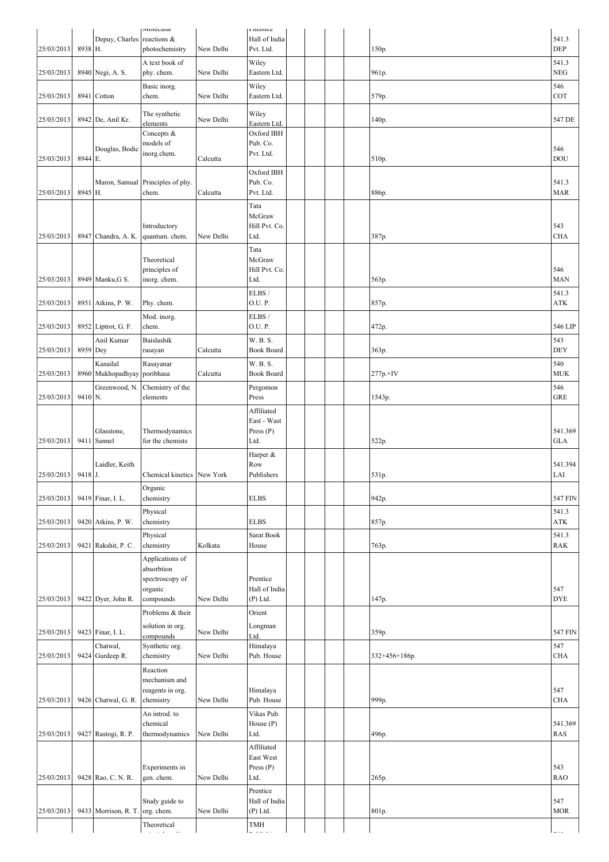|            |                    |                      | госсинаг                                |           | rnenuce                    |  |  |                 |                     |
|------------|--------------------|----------------------|-----------------------------------------|-----------|----------------------------|--|--|-----------------|---------------------|
| 25/03/2013 | 8938 H.            | Depuy, Charles       | reactions &<br>photochemistry           | New Delhi | Hall of India<br>Pvt. Ltd. |  |  | 150p.           | 541.3<br>DEP        |
|            |                    |                      | A text book of                          |           |                            |  |  |                 |                     |
| 25/03/2013 |                    | 8940 Negi, A. S.     | phy. chem.                              | New Delhi | Wiley<br>Eastern Ltd.      |  |  | 961p.           | 541.3<br><b>NEG</b> |
|            |                    |                      | Basic inorg.                            |           | Wiley                      |  |  |                 | 546                 |
| 25/03/2013 |                    | 8941 Cotton          | chem.                                   | New Delhi | Eastern Ltd.               |  |  | 579p.           | COT                 |
|            |                    |                      |                                         |           |                            |  |  |                 |                     |
| 25/03/2013 |                    | 8942 De, Anil Kr.    | The synthetic<br>elements               | New Delhi | Wiley<br>Eastern Ltd.      |  |  | 140p.           | 547 DE              |
|            |                    |                      | Concepts &                              |           | Oxford IBH                 |  |  |                 |                     |
|            |                    |                      | models of                               |           | Pub. Co.                   |  |  |                 | 546                 |
| 25/03/2013 | 8944 E.            | Douglas, Bodic       | inorg.chem.                             | Calcutta  | Pvt. Ltd.                  |  |  | 510p.           | <b>DOU</b>          |
|            |                    |                      |                                         |           | Oxford IBH                 |  |  |                 |                     |
|            |                    | Maron, Samual        | Principles of phy.                      |           | Pub. Co.                   |  |  |                 | 541.3               |
| 25/03/2013 | 8945 H.            |                      | chem.                                   | Calcutta  | Pvt. Ltd.                  |  |  | 886p.           | <b>MAR</b>          |
|            |                    |                      |                                         |           | Tata                       |  |  |                 |                     |
|            |                    |                      |                                         |           | McGraw                     |  |  |                 |                     |
| 25/03/2013 |                    | 8947 Chandra, A. K.  | Introductory<br>quantum. chem.          | New Delhi | Hill Pvt. Co.<br>Ltd.      |  |  |                 | 543<br><b>CHA</b>   |
|            |                    |                      |                                         |           |                            |  |  | 387p.           |                     |
|            |                    |                      | Theoretical                             |           | Tata<br>McGraw             |  |  |                 |                     |
|            |                    |                      | principles of                           |           | Hill Pvt. Co.              |  |  |                 | 546                 |
| 25/03/2013 |                    | 8949 Manku, G S.     | inorg. chem.                            |           | Ltd.                       |  |  | 563p.           | <b>MAN</b>          |
|            |                    |                      |                                         |           | ELBS/                      |  |  |                 | 541.3               |
| 25/03/2013 |                    | 8951 Atkins, P. W.   | Phy. chem.                              |           | O.U. P.                    |  |  | 857p.           | ATK                 |
|            |                    |                      | Mod. inorg.                             |           | ELBS/                      |  |  |                 |                     |
| 25/03/2013 |                    | 8952 Liptrot, G. F.  | chem.                                   |           | O.U.P.                     |  |  | 472p.           | 546 LIP             |
|            |                    | Anil Kumar           | Baislashik                              |           | W. B. S.                   |  |  |                 | 543                 |
| 25/03/2013 | 8959 Dey           |                      | rasayan                                 | Calcutta  | <b>Book Board</b>          |  |  | 363p.           | <b>DEY</b>          |
|            |                    | Kanailal             | Rasayanar                               |           | W. B. S.                   |  |  |                 | 540                 |
| 25/03/2013 |                    | 8960 Mukhopadhyay    | poribhasa                               | Calcutta  | <b>Book Board</b>          |  |  | $277p.+IV$      | <b>MUK</b>          |
| 25/03/2013 | 9410 <sub>N.</sub> | Greenwood, N.        | Chemistry of the<br>elements            |           | Pergomon<br>Press          |  |  | 1543p.          | 546<br><b>GRE</b>   |
|            |                    |                      |                                         |           | Affiliated                 |  |  |                 |                     |
|            |                    |                      |                                         |           | East - Wast                |  |  |                 |                     |
|            |                    | Glasstone,           | Thermodynamics                          |           | Press $(P)$                |  |  |                 | 541.369             |
| 25/03/2013 | 9411               | Sannel               | for the chemists                        |           | Ltd.                       |  |  | 522p.           | <b>GLA</b>          |
|            |                    |                      |                                         |           | Harper &                   |  |  |                 |                     |
|            |                    | Laidler, Keith       |                                         |           | Row                        |  |  |                 | 541.394             |
| 25/03/2013 | 9418 J.            |                      | Chemical kinetics New York              |           | Publishers                 |  |  | 531p.           | LAI                 |
| 25/03/2013 |                    | 9419 Finar, I. L.    | Organic                                 |           | <b>ELBS</b>                |  |  |                 | 547 FIN             |
|            |                    |                      | chemistry                               |           |                            |  |  | 942p.           |                     |
| 25/03/2013 |                    | 9420 Atkins, P. W.   | Physical<br>chemistry                   |           | <b>ELBS</b>                |  |  | 857p.           | 541.3<br>ATK        |
|            |                    |                      | Physical                                |           | Sarat Book                 |  |  |                 | 541.3               |
| 25/03/2013 |                    | 9421 Rakshit, P. C.  | chemistry                               | Kolkata   | House                      |  |  | 763p.           | <b>RAK</b>          |
|            |                    |                      | Applications of                         |           |                            |  |  |                 |                     |
|            |                    |                      | absorbtion                              |           |                            |  |  |                 |                     |
|            |                    |                      | spectroscopy of                         |           | Prentice                   |  |  |                 |                     |
|            |                    |                      | organic                                 |           | Hall of India              |  |  |                 | 547                 |
| 25/03/2013 |                    | 9422 Dyer, John R.   | compounds                               | New Delhi | (P) Ltd.                   |  |  | 147p.           | <b>DYE</b>          |
|            |                    |                      | Problems & their                        |           | Orient                     |  |  |                 |                     |
| 25/03/2013 |                    | 9423 Finar, I. L.    | solution in org.<br>compounds           | New Delhi | Longman<br>Ltd.            |  |  | 359p.           | 547 FIN             |
|            |                    | Chatwal,             | Synthetic org.                          |           | Himalaya                   |  |  |                 | 547                 |
| 25/03/2013 |                    | 9424 Gurdeep R.      | chemistry                               | New Delhi | Pub. House                 |  |  | $332+456+186p.$ | <b>CHA</b>          |
|            |                    |                      | Reaction                                |           |                            |  |  |                 |                     |
|            |                    |                      | mechanism and                           |           |                            |  |  |                 |                     |
|            |                    |                      | reagents in org.                        |           | Himalaya                   |  |  |                 | 547                 |
| 25/03/2013 |                    | 9426 Chatwal, G. R.  | chemistry                               | New Delhi | Pub. House                 |  |  | 999p.           | <b>CHA</b>          |
|            |                    |                      | An introd. to<br>chemical               |           | Vikas Pub.<br>House (P)    |  |  |                 | 541.369             |
| 25/03/2013 |                    | 9427 Rastogi, R. P.  | thermodynamics                          | New Delhi | Ltd.                       |  |  | 496p.           | <b>RAS</b>          |
|            |                    |                      |                                         |           | Affiliated                 |  |  |                 |                     |
|            |                    |                      |                                         |           | East West                  |  |  |                 |                     |
|            |                    |                      | Experiments in                          |           | Press $(P)$                |  |  |                 | 543                 |
| 25/03/2013 |                    | 9428 Rao, C. N. R.   | gen. chem.                              | New Delhi | Ltd.                       |  |  | 265p.           | <b>RAO</b>          |
|            |                    |                      | Study guide to                          |           | Prentice<br>Hall of India  |  |  |                 | 547                 |
| 25/03/2013 |                    | 9433 Morrison, R. T. | org. chem.                              | New Delhi | (P) Ltd.                   |  |  | 801p.           | <b>MOR</b>          |
|            |                    |                      | Theoretical                             |           | TMH                        |  |  |                 |                     |
|            |                    |                      | $\mathcal{A}=\mathcal{A}+\mathcal{A}$ . |           | د د ده پ                   |  |  |                 |                     |